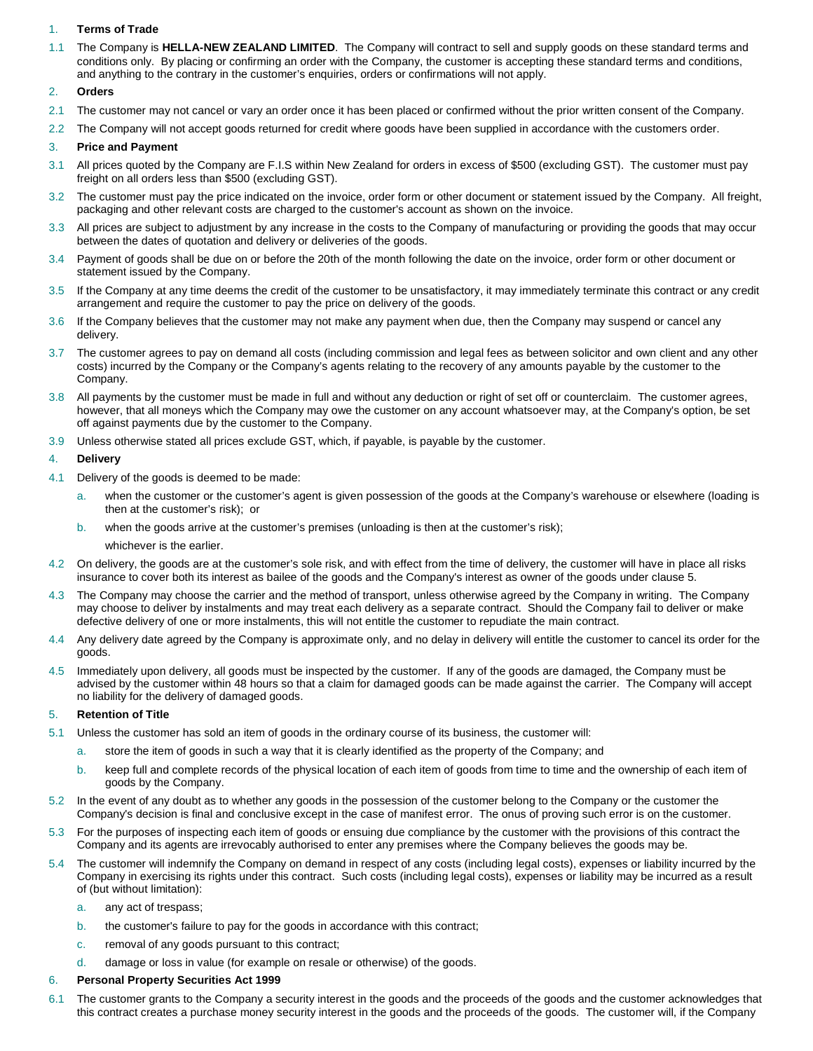# 1. **Terms of Trade**

1.1 The Company is **HELLA-NEW ZEALAND LIMITED**. The Company will contract to sell and supply goods on these standard terms and conditions only. By placing or confirming an order with the Company, the customer is accepting these standard terms and conditions, and anything to the contrary in the customer's enquiries, orders or confirmations will not apply.

# 2. **Orders**

- 2.1 The customer may not cancel or vary an order once it has been placed or confirmed without the prior written consent of the Company.
- 2.2 The Company will not accept goods returned for credit where goods have been supplied in accordance with the customers order.

# 3. **Price and Payment**

- 3.1 All prices quoted by the Company are F.I.S within New Zealand for orders in excess of \$500 (excluding GST). The customer must pay freight on all orders less than \$500 (excluding GST).
- 3.2 The customer must pay the price indicated on the invoice, order form or other document or statement issued by the Company. All freight, packaging and other relevant costs are charged to the customer's account as shown on the invoice.
- 3.3 All prices are subject to adjustment by any increase in the costs to the Company of manufacturing or providing the goods that may occur between the dates of quotation and delivery or deliveries of the goods.
- 3.4 Payment of goods shall be due on or before the 20th of the month following the date on the invoice, order form or other document or statement issued by the Company.
- 3.5 If the Company at any time deems the credit of the customer to be unsatisfactory, it may immediately terminate this contract or any credit arrangement and require the customer to pay the price on delivery of the goods.
- 3.6 If the Company believes that the customer may not make any payment when due, then the Company may suspend or cancel any delivery.
- 3.7 The customer agrees to pay on demand all costs (including commission and legal fees as between solicitor and own client and any other costs) incurred by the Company or the Company's agents relating to the recovery of any amounts payable by the customer to the Company.
- 3.8 All payments by the customer must be made in full and without any deduction or right of set off or counterclaim. The customer agrees, however, that all moneys which the Company may owe the customer on any account whatsoever may, at the Company's option, be set off against payments due by the customer to the Company.
- 3.9 Unless otherwise stated all prices exclude GST, which, if payable, is payable by the customer.

# 4. **Delivery**

- 4.1 Delivery of the goods is deemed to be made:
	- a. when the customer or the customer's agent is given possession of the goods at the Company's warehouse or elsewhere (loading is then at the customer's risk); or
	- b. when the goods arrive at the customer's premises (unloading is then at the customer's risk);
		- whichever is the earlier.
- 4.2 On delivery, the goods are at the customer's sole risk, and with effect from the time of delivery, the customer will have in place all risks insurance to cover both its interest as bailee of the goods and the Company's interest as owner of the goods under clause 5.
- 4.3 The Company may choose the carrier and the method of transport, unless otherwise agreed by the Company in writing. The Company may choose to deliver by instalments and may treat each delivery as a separate contract. Should the Company fail to deliver or make defective delivery of one or more instalments, this will not entitle the customer to repudiate the main contract.
- 4.4 Any delivery date agreed by the Company is approximate only, and no delay in delivery will entitle the customer to cancel its order for the goods.
- 4.5 Immediately upon delivery, all goods must be inspected by the customer. If any of the goods are damaged, the Company must be advised by the customer within 48 hours so that a claim for damaged goods can be made against the carrier. The Company will accept no liability for the delivery of damaged goods.

# 5. **Retention of Title**

- 5.1 Unless the customer has sold an item of goods in the ordinary course of its business, the customer will:
	- a. store the item of goods in such a way that it is clearly identified as the property of the Company; and
	- b. keep full and complete records of the physical location of each item of goods from time to time and the ownership of each item of goods by the Company.
- 5.2 In the event of any doubt as to whether any goods in the possession of the customer belong to the Company or the customer the Company's decision is final and conclusive except in the case of manifest error. The onus of proving such error is on the customer.
- 5.3 For the purposes of inspecting each item of goods or ensuing due compliance by the customer with the provisions of this contract the Company and its agents are irrevocably authorised to enter any premises where the Company believes the goods may be.
- 5.4 The customer will indemnify the Company on demand in respect of any costs (including legal costs), expenses or liability incurred by the Company in exercising its rights under this contract. Such costs (including legal costs), expenses or liability may be incurred as a result of (but without limitation):
	- a. any act of trespass;
	- b. the customer's failure to pay for the goods in accordance with this contract;
	- c. removal of any goods pursuant to this contract;
	- d. damage or loss in value (for example on resale or otherwise) of the goods.

# 6. **Personal Property Securities Act 1999**

6.1 The customer grants to the Company a security interest in the goods and the proceeds of the goods and the customer acknowledges that this contract creates a purchase money security interest in the goods and the proceeds of the goods. The customer will, if the Company